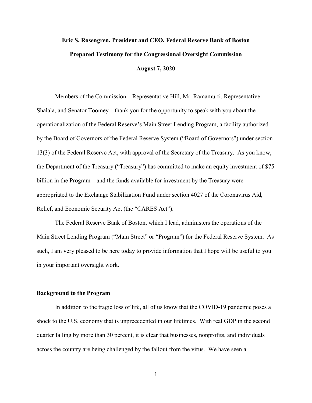# **Eric S. Rosengren, President and CEO, Federal Reserve Bank of Boston Prepared Testimony for the Congressional Oversight Commission August 7, 2020**

Members of the Commission – Representative Hill, Mr. Ramamurti, Representative Shalala, and Senator Toomey – thank you for the opportunity to speak with you about the operationalization of the Federal Reserve's Main Street Lending Program, a facility authorized by the Board of Governors of the Federal Reserve System ("Board of Governors") under section 13(3) of the Federal Reserve Act, with approval of the Secretary of the Treasury. As you know, the Department of the Treasury ("Treasury") has committed to make an equity investment of \$75 billion in the Program – and the funds available for investment by the Treasury were appropriated to the Exchange Stabilization Fund under section 4027 of the Coronavirus Aid, Relief, and Economic Security Act (the "CARES Act").

The Federal Reserve Bank of Boston, which I lead, administers the operations of the Main Street Lending Program ("Main Street" or "Program") for the Federal Reserve System. As such, I am very pleased to be here today to provide information that I hope will be useful to you in your important oversight work.

#### **Background to the Program**

In addition to the tragic loss of life, all of us know that the COVID-19 pandemic poses a shock to the U.S. economy that is unprecedented in our lifetimes. With real GDP in the second quarter falling by more than 30 percent, it is clear that businesses, nonprofits, and individuals across the country are being challenged by the fallout from the virus. We have seen a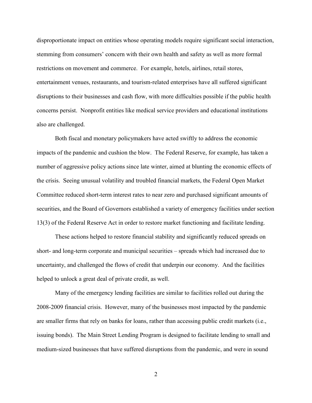disproportionate impact on entities whose operating models require significant social interaction, stemming from consumers' concern with their own health and safety as well as more formal restrictions on movement and commerce. For example, hotels, airlines, retail stores, entertainment venues, restaurants, and tourism-related enterprises have all suffered significant disruptions to their businesses and cash flow, with more difficulties possible if the public health concerns persist. Nonprofit entities like medical service providers and educational institutions also are challenged.

Both fiscal and monetary policymakers have acted swiftly to address the economic impacts of the pandemic and cushion the blow. The Federal Reserve, for example, has taken a number of aggressive policy actions since late winter, aimed at blunting the economic effects of the crisis. Seeing unusual volatility and troubled financial markets, the Federal Open Market Committee reduced short-term interest rates to near zero and purchased significant amounts of securities, and the Board of Governors established a variety of emergency facilities under section 13(3) of the Federal Reserve Act in order to restore market functioning and facilitate lending.

These actions helped to restore financial stability and significantly reduced spreads on short- and long-term corporate and municipal securities – spreads which had increased due to uncertainty, and challenged the flows of credit that underpin our economy. And the facilities helped to unlock a great deal of private credit, as well.

Many of the emergency lending facilities are similar to facilities rolled out during the 2008-2009 financial crisis. However, many of the businesses most impacted by the pandemic are smaller firms that rely on banks for loans, rather than accessing public credit markets (i.e., issuing bonds). The Main Street Lending Program is designed to facilitate lending to small and medium-sized businesses that have suffered disruptions from the pandemic, and were in sound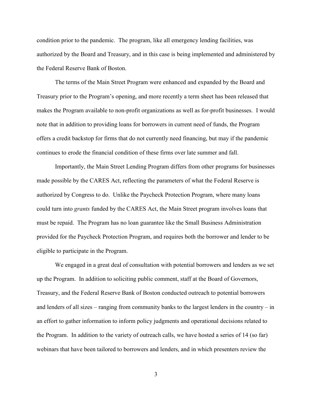condition prior to the pandemic. The program, like all emergency lending facilities, was authorized by the Board and Treasury, and in this case is being implemented and administered by the Federal Reserve Bank of Boston.

The terms of the Main Street Program were enhanced and expanded by the Board and Treasury prior to the Program's opening, and more recently a term sheet has been released that makes the Program available to non-profit organizations as well as for-profit businesses. I would note that in addition to providing loans for borrowers in current need of funds, the Program offers a credit backstop for firms that do not currently need financing, but may if the pandemic continues to erode the financial condition of these firms over late summer and fall.

Importantly, the Main Street Lending Program differs from other programs for businesses made possible by the CARES Act, reflecting the parameters of what the Federal Reserve is authorized by Congress to do. Unlike the Paycheck Protection Program, where many loans could turn into *grants* funded by the CARES Act, the Main Street program involves loans that must be repaid. The Program has no loan guarantee like the Small Business Administration provided for the Paycheck Protection Program, and requires both the borrower and lender to be eligible to participate in the Program.

We engaged in a great deal of consultation with potential borrowers and lenders as we set up the Program. In addition to soliciting public comment, staff at the Board of Governors, Treasury, and the Federal Reserve Bank of Boston conducted outreach to potential borrowers and lenders of all sizes – ranging from community banks to the largest lenders in the country – in an effort to gather information to inform policy judgments and operational decisions related to the Program. In addition to the variety of outreach calls, we have hosted a series of 14 (so far) webinars that have been tailored to borrowers and lenders, and in which presenters review the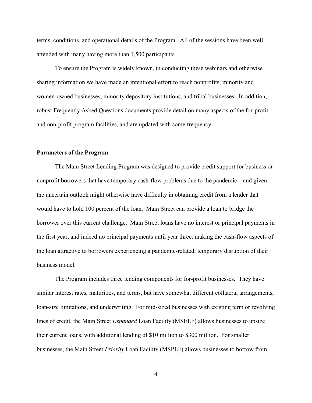terms, conditions, and operational details of the Program. All of the sessions have been well attended with many having more than 1,500 participants.

To ensure the Program is widely known, in conducting these webinars and otherwise sharing information we have made an intentional effort to reach nonprofits, minority and women-owned businesses, minority depository institutions, and tribal businesses. In addition, robust Frequently Asked Questions documents provide detail on many aspects of the for-profit and non-profit program facilities, and are updated with some frequency.

## **Parameters of the Program**

The Main Street Lending Program was designed to provide credit support for business or nonprofit borrowers that have temporary cash-flow problems due to the pandemic – and given the uncertain outlook might otherwise have difficulty in obtaining credit from a lender that would have to hold 100 percent of the loan. Main Street can provide a loan to bridge the borrower over this current challenge. Main Street loans have no interest or principal payments in the first year, and indeed no principal payments until year three, making the cash-flow aspects of the loan attractive to borrowers experiencing a pandemic-related, temporary disruption of their business model.

The Program includes three lending components for for-profit businesses. They have similar interest rates, maturities, and terms, but have somewhat different collateral arrangements, loan-size limitations, and underwriting. For mid-sized businesses with existing term or revolving lines of credit, the Main Street *Expanded* Loan Facility (MSELF) allows businesses to upsize their current loans, with additional lending of \$10 million to \$300 million. For smaller businesses, the Main Street *Priority* Loan Facility (MSPLF) allows businesses to borrow from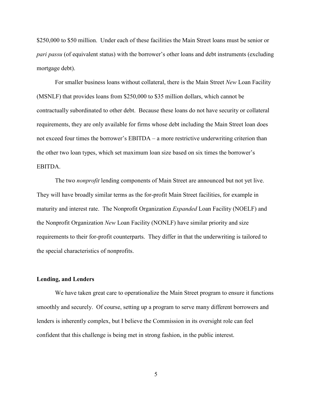\$250,000 to \$50 million. Under each of these facilities the Main Street loans must be senior or *pari passu* (of equivalent status) with the borrower's other loans and debt instruments (excluding mortgage debt).

For smaller business loans without collateral, there is the Main Street *New* Loan Facility (MSNLF) that provides loans from \$250,000 to \$35 million dollars, which cannot be contractually subordinated to other debt. Because these loans do not have security or collateral requirements, they are only available for firms whose debt including the Main Street loan does not exceed four times the borrower's EBITDA – a more restrictive underwriting criterion than the other two loan types, which set maximum loan size based on six times the borrower's EBITDA.

The two *nonprofit* lending components of Main Street are announced but not yet live. They will have broadly similar terms as the for-profit Main Street facilities, for example in maturity and interest rate. The Nonprofit Organization *Expanded* Loan Facility (NOELF) and the Nonprofit Organization *New* Loan Facility (NONLF) have similar priority and size requirements to their for-profit counterparts. They differ in that the underwriting is tailored to the special characteristics of nonprofits.

#### **Lending, and Lenders**

We have taken great care to operationalize the Main Street program to ensure it functions smoothly and securely. Of course, setting up a program to serve many different borrowers and lenders is inherently complex, but I believe the Commission in its oversight role can feel confident that this challenge is being met in strong fashion, in the public interest.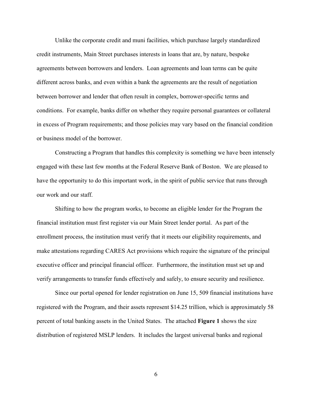Unlike the corporate credit and muni facilities, which purchase largely standardized credit instruments, Main Street purchases interests in loans that are, by nature, bespoke agreements between borrowers and lenders. Loan agreements and loan terms can be quite different across banks, and even within a bank the agreements are the result of negotiation between borrower and lender that often result in complex, borrower-specific terms and conditions. For example, banks differ on whether they require personal guarantees or collateral in excess of Program requirements; and those policies may vary based on the financial condition or business model of the borrower.

Constructing a Program that handles this complexity is something we have been intensely engaged with these last few months at the Federal Reserve Bank of Boston. We are pleased to have the opportunity to do this important work, in the spirit of public service that runs through our work and our staff.

Shifting to how the program works, to become an eligible lender for the Program the financial institution must first register via our Main Street lender portal. As part of the enrollment process, the institution must verify that it meets our eligibility requirements, and make attestations regarding CARES Act provisions which require the signature of the principal executive officer and principal financial officer. Furthermore, the institution must set up and verify arrangements to transfer funds effectively and safely, to ensure security and resilience.

Since our portal opened for lender registration on June 15, 509 financial institutions have registered with the Program, and their assets represent \$14.25 trillion, which is approximately 58 percent of total banking assets in the United States. The attached **Figure 1** shows the size distribution of registered MSLP lenders. It includes the largest universal banks and regional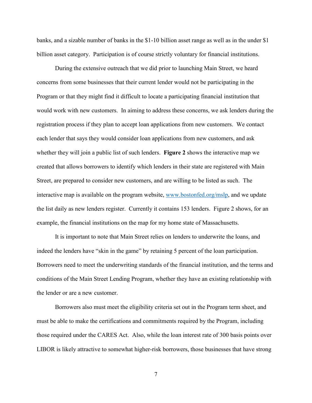banks, and a sizable number of banks in the \$1-10 billion asset range as well as in the under \$1 billion asset category. Participation is of course strictly voluntary for financial institutions.

During the extensive outreach that we did prior to launching Main Street, we heard concerns from some businesses that their current lender would not be participating in the Program or that they might find it difficult to locate a participating financial institution that would work with new customers. In aiming to address these concerns, we ask lenders during the registration process if they plan to accept loan applications from new customers. We contact each lender that says they would consider loan applications from new customers, and ask whether they will join a public list of such lenders. **Figure 2** shows the interactive map we created that allows borrowers to identify which lenders in their state are registered with Main Street, are prepared to consider new customers, and are willing to be listed as such. The interactive map is available on the program website, [www.bostonfed.org/mslp,](http://www.bostonfed.org/mslp) and we update the list daily as new lenders register. Currently it contains 153 lenders. Figure 2 shows, for an example, the financial institutions on the map for my home state of Massachusetts.

It is important to note that Main Street relies on lenders to underwrite the loans, and indeed the lenders have "skin in the game" by retaining 5 percent of the loan participation. Borrowers need to meet the underwriting standards of the financial institution, and the terms and conditions of the Main Street Lending Program, whether they have an existing relationship with the lender or are a new customer.

Borrowers also must meet the eligibility criteria set out in the Program term sheet, and must be able to make the certifications and commitments required by the Program, including those required under the CARES Act. Also, while the loan interest rate of 300 basis points over LIBOR is likely attractive to somewhat higher-risk borrowers, those businesses that have strong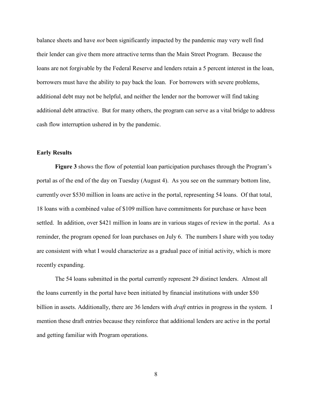balance sheets and have *not* been significantly impacted by the pandemic may very well find their lender can give them more attractive terms than the Main Street Program. Because the loans are not forgivable by the Federal Reserve and lenders retain a 5 percent interest in the loan, borrowers must have the ability to pay back the loan. For borrowers with severe problems, additional debt may not be helpful, and neither the lender nor the borrower will find taking additional debt attractive. But for many others, the program can serve as a vital bridge to address cash flow interruption ushered in by the pandemic.

# **Early Results**

**Figure 3** shows the flow of potential loan participation purchases through the Program's portal as of the end of the day on Tuesday (August 4). As you see on the summary bottom line, currently over \$530 million in loans are active in the portal, representing 54 loans. Of that total, 18 loans with a combined value of \$109 million have commitments for purchase or have been settled. In addition, over \$421 million in loans are in various stages of review in the portal. As a reminder, the program opened for loan purchases on July 6. The numbers I share with you today are consistent with what I would characterize as a gradual pace of initial activity, which is more recently expanding.

The 54 loans submitted in the portal currently represent 29 distinct lenders. Almost all the loans currently in the portal have been initiated by financial institutions with under \$50 billion in assets. Additionally, there are 36 lenders with *draft* entries in progress in the system. I mention these draft entries because they reinforce that additional lenders are active in the portal and getting familiar with Program operations.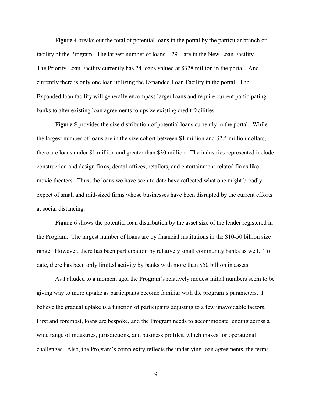**Figure 4** breaks out the total of potential loans in the portal by the particular branch or facility of the Program. The largest number of loans – 29 – are in the New Loan Facility. The Priority Loan Facility currently has 24 loans valued at \$328 million in the portal. And currently there is only one loan utilizing the Expanded Loan Facility in the portal. The Expanded loan facility will generally encompass larger loans and require current participating banks to alter existing loan agreements to upsize existing credit facilities.

**Figure 5** provides the size distribution of potential loans currently in the portal. While the largest number of loans are in the size cohort between \$1 million and \$2.5 million dollars, there are loans under \$1 million and greater than \$30 million. The industries represented include construction and design firms, dental offices, retailers, and entertainment-related firms like movie theaters. Thus, the loans we have seen to date have reflected what one might broadly expect of small and mid-sized firms whose businesses have been disrupted by the current efforts at social distancing.

**Figure 6** shows the potential loan distribution by the asset size of the lender registered in the Program. The largest number of loans are by financial institutions in the \$10-50 billion size range. However, there has been participation by relatively small community banks as well. To date, there has been only limited activity by banks with more than \$50 billion in assets.

As I alluded to a moment ago, the Program's relatively modest initial numbers seem to be giving way to more uptake as participants become familiar with the program's parameters. I believe the gradual uptake is a function of participants adjusting to a few unavoidable factors. First and foremost, loans are bespoke, and the Program needs to accommodate lending across a wide range of industries, jurisdictions, and business profiles, which makes for operational challenges. Also, the Program's complexity reflects the underlying loan agreements, the terms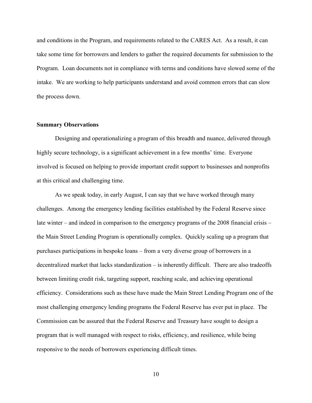and conditions in the Program, and requirements related to the CARES Act. As a result, it can take some time for borrowers and lenders to gather the required documents for submission to the Program. Loan documents not in compliance with terms and conditions have slowed some of the intake. We are working to help participants understand and avoid common errors that can slow the process down.

### **Summary Observations**

Designing and operationalizing a program of this breadth and nuance, delivered through highly secure technology, is a significant achievement in a few months' time. Everyone involved is focused on helping to provide important credit support to businesses and nonprofits at this critical and challenging time.

As we speak today, in early August, I can say that we have worked through many challenges. Among the emergency lending facilities established by the Federal Reserve since late winter – and indeed in comparison to the emergency programs of the 2008 financial crisis – the Main Street Lending Program is operationally complex. Quickly scaling up a program that purchases participations in bespoke loans – from a very diverse group of borrowers in a decentralized market that lacks standardization – is inherently difficult. There are also tradeoffs between limiting credit risk, targeting support, reaching scale, and achieving operational efficiency. Considerations such as these have made the Main Street Lending Program one of the most challenging emergency lending programs the Federal Reserve has ever put in place. The Commission can be assured that the Federal Reserve and Treasury have sought to design a program that is well managed with respect to risks, efficiency, and resilience, while being responsive to the needs of borrowers experiencing difficult times.